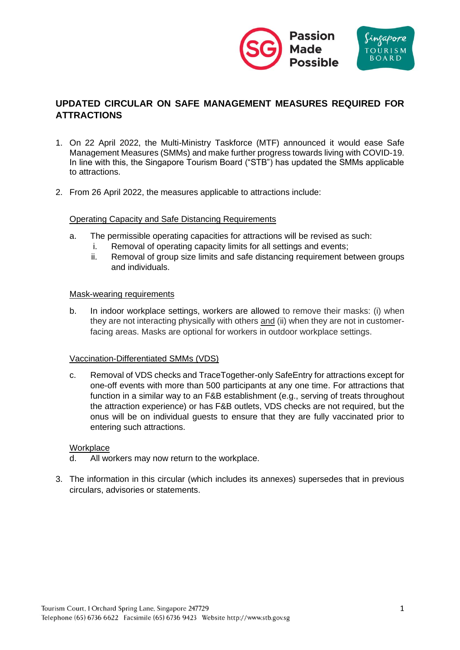

# **UPDATED CIRCULAR ON SAFE MANAGEMENT MEASURES REQUIRED FOR ATTRACTIONS**

- 1. On 22 April 2022, the Multi-Ministry Taskforce (MTF) announced it would ease Safe Management Measures (SMMs) and make further progress towards living with COVID-19. In line with this, the Singapore Tourism Board ("STB") has updated the SMMs applicable to attractions.
- 2. From 26 April 2022, the measures applicable to attractions include:

#### Operating Capacity and Safe Distancing Requirements

- a. The permissible operating capacities for attractions will be revised as such:
	- i. Removal of operating capacity limits for all settings and events;
	- ii. Removal of group size limits and safe distancing requirement between groups and individuals.

#### Mask-wearing requirements

b. In indoor workplace settings, workers are allowed to remove their masks: (i) when they are not interacting physically with others and (ii) when they are not in customerfacing areas. Masks are optional for workers in outdoor workplace settings.

#### Vaccination-Differentiated SMMs (VDS)

c. Removal of VDS checks and TraceTogether-only SafeEntry for attractions except for one-off events with more than 500 participants at any one time. For attractions that function in a similar way to an F&B establishment (e.g., serving of treats throughout the attraction experience) or has F&B outlets, VDS checks are not required, but the onus will be on individual guests to ensure that they are fully vaccinated prior to entering such attractions.

#### **Workplace**

- d. All workers may now return to the workplace.
- 3. The information in this circular (which includes its annexes) supersedes that in previous circulars, advisories or statements.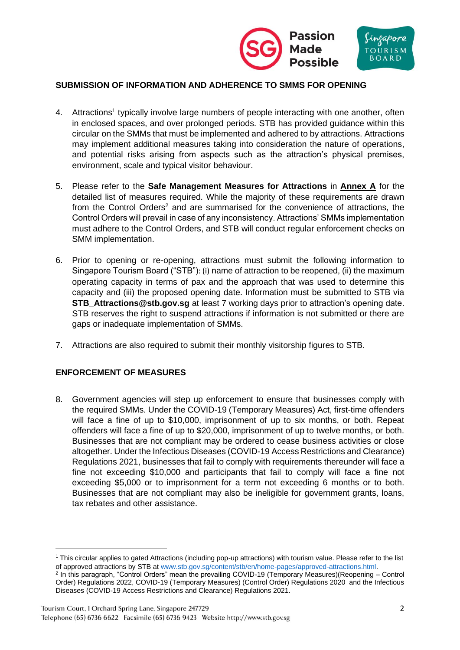

## **SUBMISSION OF INFORMATION AND ADHERENCE TO SMMS FOR OPENING**

- 4. Attractions<sup>1</sup> typically involve large numbers of people interacting with one another, often in enclosed spaces, and over prolonged periods. STB has provided guidance within this circular on the SMMs that must be implemented and adhered to by attractions. Attractions may implement additional measures taking into consideration the nature of operations, and potential risks arising from aspects such as the attraction's physical premises, environment, scale and typical visitor behaviour.
- 5. Please refer to the **Safe Management Measures for Attractions** in **Annex A** for the detailed list of measures required. While the majority of these requirements are drawn from the Control Orders<sup>2</sup> and are summarised for the convenience of attractions, the Control Orders will prevail in case of any inconsistency. Attractions' SMMs implementation must adhere to the Control Orders, and STB will conduct regular enforcement checks on SMM implementation.
- 6. Prior to opening or re-opening, attractions must submit the following information to Singapore Tourism Board ("STB"): (i) name of attraction to be reopened, (ii) the maximum operating capacity in terms of pax and the approach that was used to determine this capacity and (iii) the proposed opening date. Information must be submitted to STB via **[STB\\_Attractions@stb.gov.sg](mailto:STB_Attractions@stb.gov.sg)** at least 7 working days prior to attraction's opening date. STB reserves the right to suspend attractions if information is not submitted or there are gaps or inadequate implementation of SMMs.
- 7. Attractions are also required to submit their monthly visitorship figures to STB.

#### **ENFORCEMENT OF MEASURES**

8. Government agencies will step up enforcement to ensure that businesses comply with the required SMMs. Under the COVID-19 (Temporary Measures) Act, first-time offenders will face a fine of up to \$10,000, imprisonment of up to six months, or both. Repeat offenders will face a fine of up to \$20,000, imprisonment of up to twelve months, or both. Businesses that are not compliant may be ordered to cease business activities or close altogether. Under the Infectious Diseases (COVID-19 Access Restrictions and Clearance) Regulations 2021, businesses that fail to comply with requirements thereunder will face a fine not exceeding \$10,000 and participants that fail to comply will face a fine not exceeding \$5,000 or to imprisonment for a term not exceeding 6 months or to both. Businesses that are not compliant may also be ineligible for government grants, loans, tax rebates and other assistance.

 $1$  This circular applies to gated Attractions (including pop-up attractions) with tourism value. Please refer to the list of approved attractions by STB at [www.stb.gov.sg/content/stb/en/home-pages/approved-attractions.html.](http://www.stb.gov.sg/content/stb/en/home-pages/approved-attractions.html)

<sup>2</sup> In this paragraph, "Control Orders" mean the prevailing COVID-19 (Temporary Measures)(Reopening – Control Order) Regulations 2022, COVID-19 (Temporary Measures) (Control Order) Regulations 2020 and the Infectious Diseases (COVID-19 Access Restrictions and Clearance) Regulations 2021.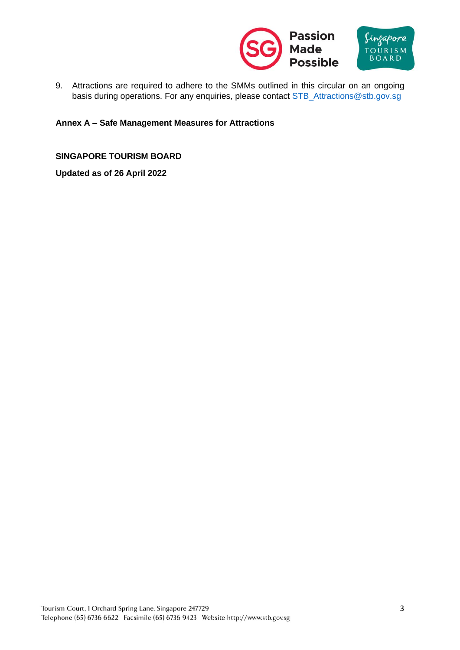

9. Attractions are required to adhere to the SMMs outlined in this circular on an ongoing basis during operations. For any enquiries, please contact [STB\\_Attractions@stb.gov.sg](mailto:STB_Attractions@stb.gov.sg)

## **Annex A – Safe Management Measures for Attractions**

**SINGAPORE TOURISM BOARD**

**Updated as of 26 April 2022**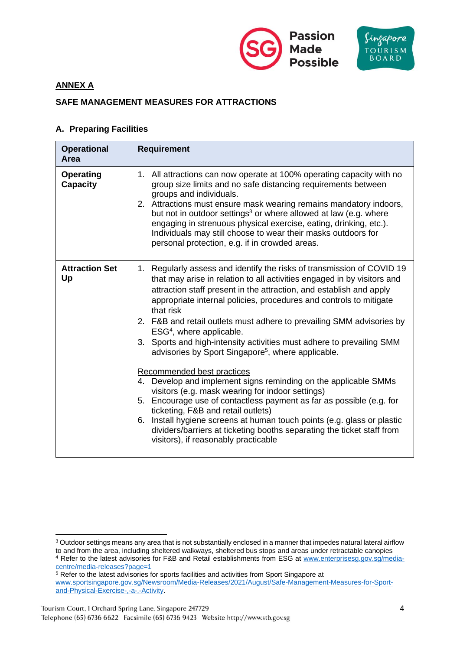

## **ANNEX A**

## **SAFE MANAGEMENT MEASURES FOR ATTRACTIONS**

### **A. Preparing Facilities**

| <b>Operational</b><br>Area          | <b>Requirement</b>                                                                                                                                                                                                                                                                                                                                                                                                                                                                                                                                                                                                                                                                                                                                                                                                                                                                                                                                                                                                                               |
|-------------------------------------|--------------------------------------------------------------------------------------------------------------------------------------------------------------------------------------------------------------------------------------------------------------------------------------------------------------------------------------------------------------------------------------------------------------------------------------------------------------------------------------------------------------------------------------------------------------------------------------------------------------------------------------------------------------------------------------------------------------------------------------------------------------------------------------------------------------------------------------------------------------------------------------------------------------------------------------------------------------------------------------------------------------------------------------------------|
| <b>Operating</b><br><b>Capacity</b> | 1. All attractions can now operate at 100% operating capacity with no<br>group size limits and no safe distancing requirements between<br>groups and individuals.<br>2. Attractions must ensure mask wearing remains mandatory indoors,<br>but not in outdoor settings <sup>3</sup> or where allowed at law (e.g. where<br>engaging in strenuous physical exercise, eating, drinking, etc.).<br>Individuals may still choose to wear their masks outdoors for<br>personal protection, e.g. if in crowded areas.                                                                                                                                                                                                                                                                                                                                                                                                                                                                                                                                  |
| <b>Attraction Set</b><br>Up         | 1. Regularly assess and identify the risks of transmission of COVID 19<br>that may arise in relation to all activities engaged in by visitors and<br>attraction staff present in the attraction, and establish and apply<br>appropriate internal policies, procedures and controls to mitigate<br>that risk<br>2. F&B and retail outlets must adhere to prevailing SMM advisories by<br>ESG <sup>4</sup> , where applicable.<br>3. Sports and high-intensity activities must adhere to prevailing SMM<br>advisories by Sport Singapore <sup>5</sup> , where applicable.<br>Recommended best practices<br>Develop and implement signs reminding on the applicable SMMs<br>4.<br>visitors (e.g. mask wearing for indoor settings)<br>Encourage use of contactless payment as far as possible (e.g. for<br>5.<br>ticketing, F&B and retail outlets)<br>Install hygiene screens at human touch points (e.g. glass or plastic<br>6.<br>dividers/barriers at ticketing booths separating the ticket staff from<br>visitors), if reasonably practicable |

<sup>&</sup>lt;sup>3</sup> Outdoor settings means any area that is not substantially enclosed in a manner that impedes natural lateral airflow to and from the area, including sheltered walkways, sheltered bus stops and areas under retractable canopies <sup>4</sup> Refer to the latest advisories for F&B and Retail establishments from ESG at [www.enterprisesg.gov.sg/media](http://www.enterprisesg.gov.sg/media-centre/media-releases?page=1)[centre/media-releases?page=1](http://www.enterprisesg.gov.sg/media-centre/media-releases?page=1)

<sup>&</sup>lt;sup>5</sup> Refer to the latest advisories for sports facilities and activities from Sport Singapore at [www.sportsingapore.gov.sg/Newsroom/Media-Releases/2021/August/Safe-Management-Measures-for-Sport](http://www.sportsingapore.gov.sg/Newsroom/Media-Releases/2021/August/Safe-Management-Measures-for-Sport-and-Physical-Exercise-,-a-,-Activity)[and-Physical-Exercise-,-a-,-Activity.](http://www.sportsingapore.gov.sg/Newsroom/Media-Releases/2021/August/Safe-Management-Measures-for-Sport-and-Physical-Exercise-,-a-,-Activity)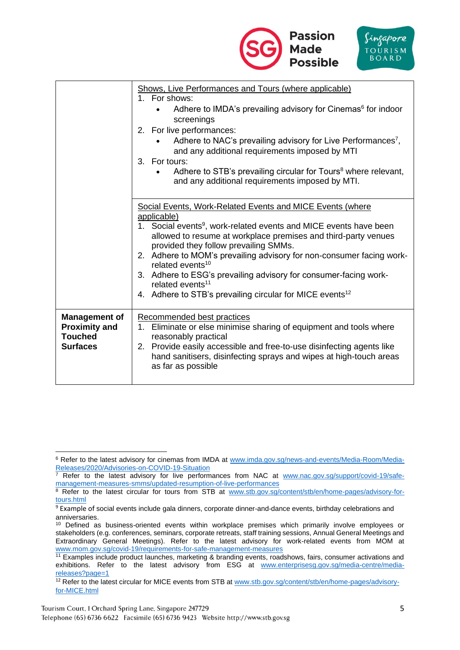

|                                                                                   | Shows, Live Performances and Tours (where applicable)<br>1. For shows:<br>Adhere to IMDA's prevailing advisory for Cinemas <sup>6</sup> for indoor<br>screenings<br>2. For live performances:<br>Adhere to NAC's prevailing advisory for Live Performances <sup>7</sup> ,<br>and any additional requirements imposed by MTI<br>3. For tours:<br>Adhere to STB's prevailing circular for Tours <sup>8</sup> where relevant,<br>and any additional requirements imposed by MTI.                                                                            |
|-----------------------------------------------------------------------------------|----------------------------------------------------------------------------------------------------------------------------------------------------------------------------------------------------------------------------------------------------------------------------------------------------------------------------------------------------------------------------------------------------------------------------------------------------------------------------------------------------------------------------------------------------------|
|                                                                                   | Social Events, Work-Related Events and MICE Events (where<br>applicable)<br>1. Social events <sup>9</sup> , work-related events and MICE events have been<br>allowed to resume at workplace premises and third-party venues<br>provided they follow prevailing SMMs.<br>2. Adhere to MOM's prevailing advisory for non-consumer facing work-<br>related events <sup>10</sup><br>3. Adhere to ESG's prevailing advisory for consumer-facing work-<br>related events <sup>11</sup><br>4. Adhere to STB's prevailing circular for MICE events <sup>12</sup> |
| <b>Management of</b><br><b>Proximity and</b><br><b>Touched</b><br><b>Surfaces</b> | Recommended best practices<br>1. Eliminate or else minimise sharing of equipment and tools where<br>reasonably practical<br>2. Provide easily accessible and free-to-use disinfecting agents like<br>hand sanitisers, disinfecting sprays and wipes at high-touch areas<br>as far as possible                                                                                                                                                                                                                                                            |

<sup>&</sup>lt;sup>6</sup> Refer to the latest advisory for cinemas from IMDA at [www.imda.gov.sg/news-and-events/Media-Room/Media-](http://www.imda.gov.sg/news-and-events/Media-Room/Media-Releases/2020/Advisories-on-COVID-19-Situation)[Releases/2020/Advisories-on-COVID-19-Situation](http://www.imda.gov.sg/news-and-events/Media-Room/Media-Releases/2020/Advisories-on-COVID-19-Situation)

 $7$  Refer to the latest advisory for live performances from NAC at www.nac.gov.sg/support/covid-19/safemanagement-measures-smms/updated-resumption-of-live-performances

<sup>&</sup>lt;sup>8</sup> Refer to the latest circular for tours from STB at [www.stb.gov.sg/content/stb/en/home-pages/advisory-for](http://www.stb.gov.sg/content/stb/en/home-pages/advisory-for-tours.html)[tours.html](http://www.stb.gov.sg/content/stb/en/home-pages/advisory-for-tours.html)

 $9$  Example of social events include gala dinners, corporate dinner-and-dance events, birthday celebrations and anniversaries.

<sup>&</sup>lt;sup>10</sup> Defined as business-oriented events within workplace premises which primarily involve employees or stakeholders (e.g. conferences, seminars, corporate retreats, staff training sessions, Annual General Meetings and Extraordinary General Meetings). Refer to the latest advisory for work-related events from MOM at www.mom.gov.sg/covid-19/requirements-for-safe-management-measures

<sup>11</sup> Examples include product launches, marketing & branding events, roadshows, fairs, consumer activations and exhibitions. Refer to the latest advisory from ESG at [www.enterprisesg.gov.sg/media-centre/media](http://www.enterprisesg.gov.sg/media-centre/media-releases?page=1)[releases?page=1](http://www.enterprisesg.gov.sg/media-centre/media-releases?page=1)

<sup>&</sup>lt;sup>12</sup> Refer to the latest circular for MICE events from STB at [www.stb.gov.sg/content/stb/en/home-pages/advisory](http://www.stb.gov.sg/content/stb/en/home-pages/advisory-for-MICE.html)[for-MICE.html](http://www.stb.gov.sg/content/stb/en/home-pages/advisory-for-MICE.html)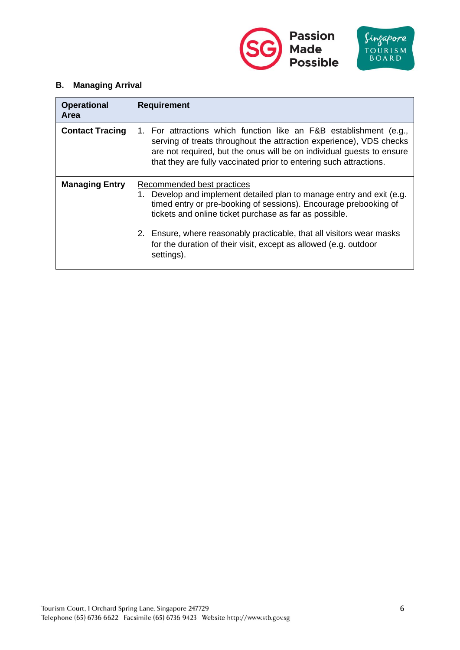



# **B. Managing Arrival**

| <b>Operational</b><br>Area | <b>Requirement</b>                                                                                                                                                                                                                                                                                                                                                                              |
|----------------------------|-------------------------------------------------------------------------------------------------------------------------------------------------------------------------------------------------------------------------------------------------------------------------------------------------------------------------------------------------------------------------------------------------|
| <b>Contact Tracing</b>     | 1. For attractions which function like an F&B establishment (e.g.,<br>serving of treats throughout the attraction experience), VDS checks<br>are not required, but the onus will be on individual guests to ensure<br>that they are fully vaccinated prior to entering such attractions.                                                                                                        |
| <b>Managing Entry</b>      | Recommended best practices<br>Develop and implement detailed plan to manage entry and exit (e.g.<br>1.<br>timed entry or pre-booking of sessions). Encourage prebooking of<br>tickets and online ticket purchase as far as possible.<br>2. Ensure, where reasonably practicable, that all visitors wear masks<br>for the duration of their visit, except as allowed (e.g. outdoor<br>settings). |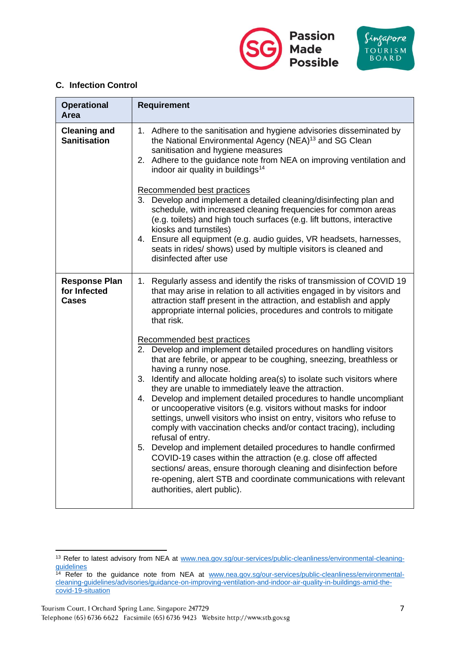



### **C. Infection Control**

| <b>Operational</b><br>Area                           | <b>Requirement</b>                                                                                                                                                                                                                                                                                                                                                                                                                                                                                                                                                                                                                                                                                                                                                                                                                                                                                                                                                     |
|------------------------------------------------------|------------------------------------------------------------------------------------------------------------------------------------------------------------------------------------------------------------------------------------------------------------------------------------------------------------------------------------------------------------------------------------------------------------------------------------------------------------------------------------------------------------------------------------------------------------------------------------------------------------------------------------------------------------------------------------------------------------------------------------------------------------------------------------------------------------------------------------------------------------------------------------------------------------------------------------------------------------------------|
| <b>Cleaning and</b><br><b>Sanitisation</b>           | 1. Adhere to the sanitisation and hygiene advisories disseminated by<br>the National Environmental Agency (NEA) <sup>13</sup> and SG Clean<br>sanitisation and hygiene measures<br>2. Adhere to the guidance note from NEA on improving ventilation and<br>indoor air quality in buildings <sup>14</sup>                                                                                                                                                                                                                                                                                                                                                                                                                                                                                                                                                                                                                                                               |
|                                                      | Recommended best practices<br>Develop and implement a detailed cleaning/disinfecting plan and<br>3.<br>schedule, with increased cleaning frequencies for common areas<br>(e.g. toilets) and high touch surfaces (e.g. lift buttons, interactive<br>kiosks and turnstiles)<br>4. Ensure all equipment (e.g. audio guides, VR headsets, harnesses,<br>seats in rides/ shows) used by multiple visitors is cleaned and<br>disinfected after use                                                                                                                                                                                                                                                                                                                                                                                                                                                                                                                           |
| <b>Response Plan</b><br>for Infected<br><b>Cases</b> | 1. Regularly assess and identify the risks of transmission of COVID 19<br>that may arise in relation to all activities engaged in by visitors and<br>attraction staff present in the attraction, and establish and apply<br>appropriate internal policies, procedures and controls to mitigate<br>that risk.                                                                                                                                                                                                                                                                                                                                                                                                                                                                                                                                                                                                                                                           |
|                                                      | Recommended best practices<br>2. Develop and implement detailed procedures on handling visitors<br>that are febrile, or appear to be coughing, sneezing, breathless or<br>having a runny nose.<br>3.<br>Identify and allocate holding area(s) to isolate such visitors where<br>they are unable to immediately leave the attraction.<br>Develop and implement detailed procedures to handle uncompliant<br>4.<br>or uncooperative visitors (e.g. visitors without masks for indoor<br>settings, unwell visitors who insist on entry, visitors who refuse to<br>comply with vaccination checks and/or contact tracing), including<br>refusal of entry.<br>Develop and implement detailed procedures to handle confirmed<br>5.<br>COVID-19 cases within the attraction (e.g. close off affected<br>sections/ areas, ensure thorough cleaning and disinfection before<br>re-opening, alert STB and coordinate communications with relevant<br>authorities, alert public). |

<sup>&</sup>lt;sup>13</sup> Refer to latest advisory from NEA at [www.nea.gov.sg/our-services/public-cleanliness/environmental-cleaning](http://www.nea.gov.sg/our-services/public-cleanliness/environmental-cleaning-guidelines)[guidelines](http://www.nea.gov.sg/our-services/public-cleanliness/environmental-cleaning-guidelines)

<sup>&</sup>lt;sup>14</sup> Refer to the guidance note from NEA at [www.nea.gov.sg/our-services/public-cleanliness/environmental](http://www.nea.gov.sg/our-services/public-cleanliness/environmental-cleaning-guidelines/advisories/guidance-on-improving-ventilation-and-indoor-air-quality-in-buildings-amid-the-covid-19-situation)[cleaning-guidelines/advisories/guidance-on-improving-ventilation-and-indoor-air-quality-in-buildings-amid-the](http://www.nea.gov.sg/our-services/public-cleanliness/environmental-cleaning-guidelines/advisories/guidance-on-improving-ventilation-and-indoor-air-quality-in-buildings-amid-the-covid-19-situation)[covid-19-situation](http://www.nea.gov.sg/our-services/public-cleanliness/environmental-cleaning-guidelines/advisories/guidance-on-improving-ventilation-and-indoor-air-quality-in-buildings-amid-the-covid-19-situation)